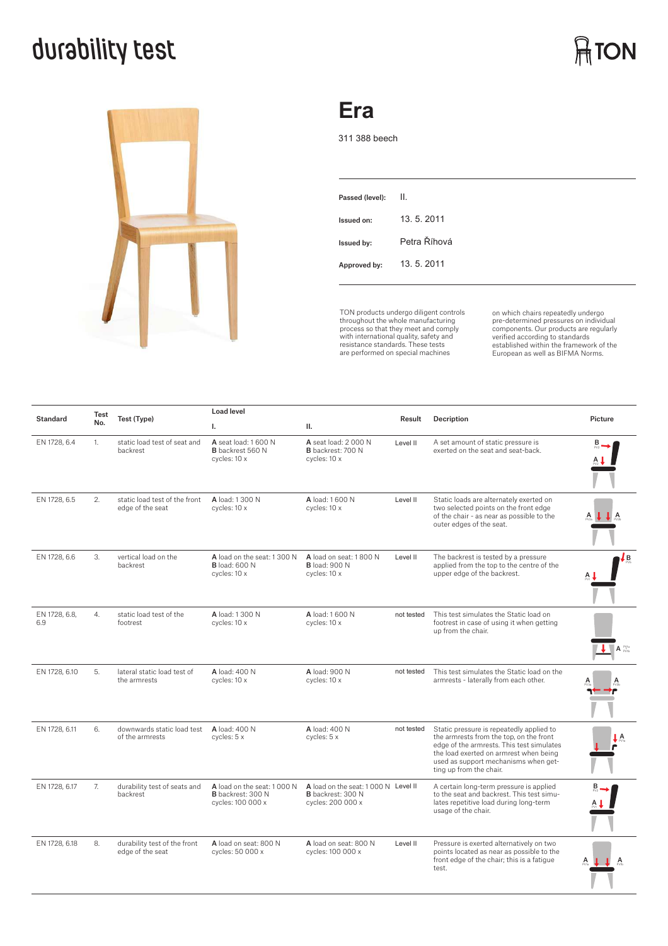## **durability test**



### **Era**

311 388 beech

| Passed (level): | Ш.           |
|-----------------|--------------|
| Issued on:      | 13.5.2011    |
| Issued by:      | Petra Říhová |
| Approved by:    | 13.5.2011    |
|                 |              |

TON products undergo diligent controls throughout the whole manufacturing process so that they meet and comply with international quality, safety and resistance standards. These tests are performed on special machines

on which chairs repeatedly undergo<br>pre-determined pressures on individual<br>components. Our products are regularly<br>verified according to standards<br>European as well as BIFMA Norms.

**ATON** 

| <b>Standard</b>      | Test<br>No. | Test (Type)                                       | <b>Load level</b>                                                    |                                                                               |            |                                                                                                                                                                                                                                               |                                 |
|----------------------|-------------|---------------------------------------------------|----------------------------------------------------------------------|-------------------------------------------------------------------------------|------------|-----------------------------------------------------------------------------------------------------------------------------------------------------------------------------------------------------------------------------------------------|---------------------------------|
|                      |             |                                                   | L.                                                                   | Ш.                                                                            | Result     | Decription                                                                                                                                                                                                                                    | Picture                         |
| EN 1728, 6.4         | 1.          | static load test of seat and<br>backrest          | A seat load: 1 600 N<br><b>B</b> backrest 560 N<br>cycles: 10 x      | A seat load: 2000 N<br><b>B</b> backrest: 700 N<br>cycles: 10 x               | Level II   | A set amount of static pressure is<br>exerted on the seat and seat-back.                                                                                                                                                                      |                                 |
| EN 1728, 6.5         | 2.          | static load test of the front<br>edge of the seat | A load: 1 300 N<br>cycles: 10 x                                      | A load: 1 600 N<br>cycles: 10 x                                               | Level II   | Static loads are alternately exerted on<br>two selected points on the front edge<br>of the chair - as near as possible to the<br>outer edges of the seat.                                                                                     |                                 |
| EN 1728, 6.6         | 3.          | vertical load on the<br>backrest                  | A load on the seat: 1 300 N<br><b>B</b> load: 600 N<br>cycles: 10 x  | A load on seat: 1800 N<br><b>B</b> load: 900 N<br>cycles: 10 x                | Level II   | The backrest is tested by a pressure<br>applied from the top to the centre of the<br>upper edge of the backrest.                                                                                                                              | Lв                              |
| EN 1728, 6.8,<br>6.9 | 4.          | static load test of the<br>footrest               | A load: 1 300 N<br>cycles: 10 x                                      | A load: 1 600 N<br>cycles: 10 x                                               | not tested | This test simulates the Static load on<br>footrest in case of using it when getting<br>up from the chair.                                                                                                                                     | $A_{\text{pvin}}^{\text{PV1a}}$ |
| EN 1728, 6.10        | 5.          | lateral static load test of<br>the armrests       | A load: 400 N<br>cycles: 10 x                                        | A load: 900 N<br>cycles: 10 x                                                 | not tested | This test simulates the Static load on the<br>armrests - laterally from each other.                                                                                                                                                           |                                 |
| EN 1728, 6.11        | 6.          | downwards static load test<br>of the armrests     | A load: 400 N<br>cycles: 5 x                                         | A load: 400 N<br>cycles: 5 x                                                  | not tested | Static pressure is repeatedly applied to<br>the armrests from the top, on the front<br>edge of the armrests. This test simulates<br>the load exerted on armrest when being<br>used as support mechanisms when get-<br>ting up from the chair. | А                               |
| EN 1728, 6.17        | 7.          | durability test of seats and<br>backrest          | A load on the seat: 1000 N<br>B backrest: 300 N<br>cycles: 100 000 x | A load on the seat: 1000 N Level II<br>B backrest: 300 N<br>cycles: 200 000 x |            | A certain long-term pressure is applied<br>to the seat and backrest. This test simu-<br>lates repetitive load during long-term<br>usage of the chair.                                                                                         |                                 |
| EN 1728, 6.18        | 8.          | durability test of the front<br>edge of the seat  | A load on seat: 800 N<br>cycles: 50 000 x                            | A load on seat: 800 N<br>cycles: 100 000 x                                    | Level II   | Pressure is exerted alternatively on two<br>points located as near as possible to the<br>front edge of the chair; this is a fatique<br>test.                                                                                                  |                                 |